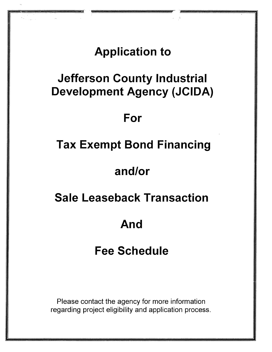## **Application to**

# **Jefferson County Industrial Development Agency (JCIDA)**

## **For**

# **Tax Exempt Bond Financing**

## **and/or**

## **Sale Leaseback Transaction**

# **And**

# **Fee Schedule**

Please contact the agency for more information regarding project eligibility and application process.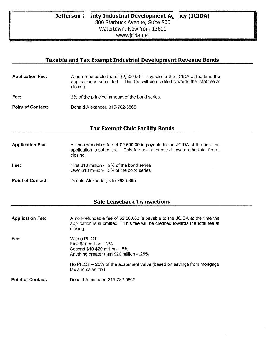Wit

#### **Taxable and Tax Exempt Industrial Development Revenue Bonds**

- **Application Fee:** A non-refundable fee of \$2,500.00 is payable to the JCIDA at the time the application is submitted. This fee will be credited towards the total fee at closing.
- **Fee:** 2% of the principal amount of the bond series.
- Point of Contact: Donald Alexander, 315-782-5865

#### **Tax Exempt Civic Facility Bonds**

- **Application Fee:** A non-refundable fee of \$2,500.00 is payable to the JCIDA at the time the application is submitted. This fee will be credited towards the total fee at closing.
- Fee: First \$10 million 2% of the bond series. Over \$10 million- .5% of the bond series.
- **Point of Contact:** Donald Alexander, 315-782-5865

#### **Sale Leaseback Transactions**

| <b>Application Fee:</b>  | A non-refundable fee of \$2,500.00 is payable to the JCIDA at the time the<br>application is submitted. This fee will be credited towards the total fee at<br>closing. |
|--------------------------|------------------------------------------------------------------------------------------------------------------------------------------------------------------------|
| Fee:                     | With a $PILOT:$<br>First $$10$ million $-2\%$<br>Second \$10-\$20 million - .5%<br>Anything greater than \$20 million - .25%                                           |
|                          | No PILOT - 25% of the abatement value (based on savings from mortgage<br>tax and sales tax).                                                                           |
| <b>Point of Contact:</b> | Donald Alexander, 315-782-5865                                                                                                                                         |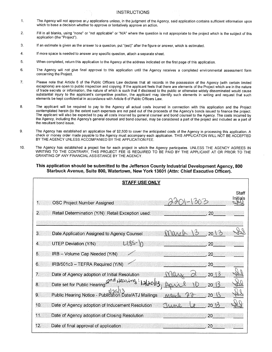#### INSTRUCTIONS

- 1. The Agency will not approve any applications unless, in the judgment of the Agency, said application contains sufficient information upon which to base a decision whether to approve or tentatively approve an action.
- 2. Fill in all blanks, using "none" or "not applicable" or "N/A" where the question is not appropriate to the project which is the subject of this application (the "Project").
- 3. If an estimate is given as the answer to a question, put "(est)" after the figure or answer, which is estimated.
- 4. If more space is needed to answer any specific question, attach a separate sheet.
- 5. When completed, return this application to the Agency at the address indicated on the first page of this application.
- 6. The Agency will not give final approval to this application until the Agency receives a completed environmental assessment form concerning the Project.
- 7. Please note that Article 6 of the Public Officers Law declares that all records in the possession of the Agency (with certain limited exceptions) are open to public inspection and copying. If the applicant feels that there are elements of the Project which are in the nature of trade secrets or information, the nature of which is such that if disclosed to the public or otherwise widely disseminated would cause substantial injury to the applicant's competitive position, the applicant may identify such elements in writing and request that such elements be kept confidential in accordance with Article 6 of Public Officers Law.
- 8. The applicant will be required to pay to the Agency all actual costs incurred in connection with this application and the Project contemplated herein (to the extent such expenses are not paid out of the proceeds of the Agency's bonds issued to finance the project. The applicant will also be expected to pay all costs incurred by general counsel and bond counsel to the Agency. The costs incurred by the Agency, including the Agency's general counsel and bond counsel, may be considered a part of the project and included as a part of the resultant bond issue.
- 9. The Agency has established an application fee of \$2,500 to cover the anticipated costs of the Agency in processing this application. A check or money order made payable to the Agency must accompany each application. THIS APPLICATION WILL NOT BE ACCEPTED BY THE AGENCY UNLESS ACCOMPANIED BY THE APPLICATION FEE.
- 10. The Agency has established a project fee for each project in which the Agency participates. UNLESS THE AGENCY AGREES IN WRITING TO THE CONTRARY, THIS PROJECT FEE IS REQUIRED TO BE PAID BY THE APPLICANT AT OR PRIOR TO THE GRANTING OF ANY FINANCIAL ASSISTANCE BY THE AGENCY.

#### **This application should be submitted to the Jefferson County Industrial Development Agency, 800 Starbuck Avenue, Suite 800, Watertown, New York 13601 (Attn: Chief Executive Officer).**

| <b>STAFF USE ONLY</b>                                                                               |
|-----------------------------------------------------------------------------------------------------|
| Staff<br>Initials<br>1.<br><b>OSC Project Number Assigned</b>                                       |
| 2.<br>Retail Determination (Y/N) Retail Exception used:<br>20                                       |
|                                                                                                     |
| 3.<br>20<br>Date Application Assigned to Agency Counsel<br>ാ                                        |
| L485-1n<br><b>UTEP Deviation (Y/N)</b><br>4.<br>20                                                  |
| 5.<br>IRB - Volume Cap Needed (Y/N)<br>20                                                           |
| IRB/501c3 - TEFRA Required (Y/N)<br>6.<br>20                                                        |
| $\overline{7}$<br>Date of Agency adoption of Initial Resolution<br>20 <sup>°</sup><br>$\frac{1}{2}$ |
| 2nd Hearing<br>8 <sub>1</sub><br>Date set for Public Hearing<br>$20 \, \text{\AA}$                  |
| 2   2   2   2   2   2  <br>Public Hearing Notice - Publication Date/ATJ Mailings<br>9.<br>Man       |
| 10.<br>Date of Agency adoption of Inducement Resolution<br>$20\%$<br>Tune                           |
| 11<br>Date of Agency adoption of Closing Resolution<br>20                                           |
| 12.<br>Date of final approval of application<br>20                                                  |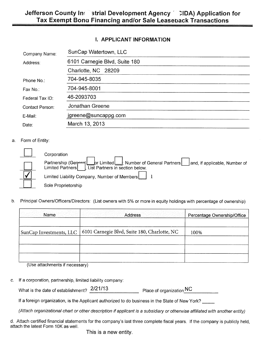#### **I. APPLICANT INFORMATION**

| Company Name:   | SunCap Watertown, LLC         |  |
|-----------------|-------------------------------|--|
| Address:        | 6101 Carnegie Blvd, Suite 180 |  |
|                 | Charlotte, NC 28209           |  |
| Phone No.:      | 704-945-8035                  |  |
| Fax No.:        | 704-945-8001                  |  |
| Federal Tax ID: | 46-2093703                    |  |
| Contact Person: | Jonathan Greene               |  |
| E-Mail:         | jgreene@suncappg.com          |  |
| Date:           | March 13, 2013                |  |

#### a. Form of Entity:

г

| Corporation                                                                                                                                                                                                                    |
|--------------------------------------------------------------------------------------------------------------------------------------------------------------------------------------------------------------------------------|
| Partnership (General Lor Limited Strategories In Sumber of General Partners and, if applicable, Number of Limited Limited Limited Durated Durated Durated Durated Durated Durated Durated Durated Durated Durated Durated Dura |
| Limited Liability Company, Number of Members     1                                                                                                                                                                             |
| Sole Proprietorship                                                                                                                                                                                                            |

b. Principal Owners/Officers/Directors: (List owners with 5% or more in equity holdings with percentage of ownership)

| <b>Example 20</b> Name  | Address                                      | Percentage Ownership/Office |
|-------------------------|----------------------------------------------|-----------------------------|
| SunCap Investments, LLC | 6101 Carnegie Blvd, Suite 180, Charlotte, NC | 100%                        |
|                         |                                              |                             |
|                         |                                              |                             |

(Use attachments if necessary)

c. If a corporation, partnership, limited liability company:

| What is the date of establishment? $2/21/13$ | Place of organization NC |
|----------------------------------------------|--------------------------|
|                                              |                          |

If a foreign organization, is the Applicant authorized to do business in the State of New York?

(Attach organizational chart or other description if applicant is a subsidiary or otherwise affiliated with another entity)

d. Attach certified financial statements for the company's last three complete fiscal years. If the company is publicly held, attach the latest Form 10K as well.

This is a new entity.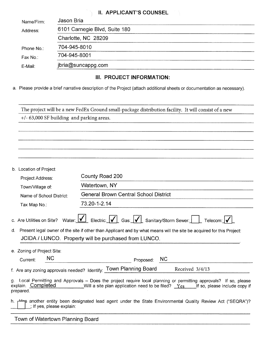#### **IL APPLICANT'S COUNSEL**

| Name/Firm: | Jason Bria                    |
|------------|-------------------------------|
| Address:   | 6101 Carnegie Blvd, Suite 180 |
|            | Charlotte, NC 28209           |
| Phone No.: | 704-945-8010                  |
| Fax No.:   | 704-945-8001                  |
| E-Mail:    | jbria@suncappg.com            |

#### **III. PROJECT INFORMATION:**

a. Please provide a brief narrative description of the Project (attach additional sheets or documentation as necessary).

|    | The project will be a new FedEx Ground small-package distribution facility. It will consist of a new |                                                                                                                                                                                                                                                                                                   |  |  |  |
|----|------------------------------------------------------------------------------------------------------|---------------------------------------------------------------------------------------------------------------------------------------------------------------------------------------------------------------------------------------------------------------------------------------------------|--|--|--|
|    | +/- 63,000 SF building and parking areas.                                                            |                                                                                                                                                                                                                                                                                                   |  |  |  |
|    |                                                                                                      |                                                                                                                                                                                                                                                                                                   |  |  |  |
|    |                                                                                                      |                                                                                                                                                                                                                                                                                                   |  |  |  |
|    |                                                                                                      |                                                                                                                                                                                                                                                                                                   |  |  |  |
|    |                                                                                                      |                                                                                                                                                                                                                                                                                                   |  |  |  |
|    | b. Location of Project                                                                               |                                                                                                                                                                                                                                                                                                   |  |  |  |
|    | Project Address:                                                                                     | County Road 200                                                                                                                                                                                                                                                                                   |  |  |  |
|    | Town/Village of:                                                                                     | Watertown, NY                                                                                                                                                                                                                                                                                     |  |  |  |
|    | Name of School District:                                                                             | <b>General Brown Central School District</b>                                                                                                                                                                                                                                                      |  |  |  |
|    | Tax Map No.:                                                                                         | 73.20-1-2.14                                                                                                                                                                                                                                                                                      |  |  |  |
| d. | c. Are Utilities on Site?                                                                            | Water: $\boxed{\bigvee}$ Electric: $\boxed{\bigvee}$ Gas: $\boxed{\bigvee}$ Sanitary/Storm Sewer:<br>Telecom: v<br>Present legal owner of the site if other than Applicant and by what means will the site be acquired for this Project:<br>JCIDA / LUNCO. Property will be purchased from LUNCO. |  |  |  |
|    | e. Zoning of Project Site:                                                                           |                                                                                                                                                                                                                                                                                                   |  |  |  |
|    | <b>NC</b><br>Current:                                                                                | <b>NC</b><br>Proposed:                                                                                                                                                                                                                                                                            |  |  |  |
|    |                                                                                                      | f. Are any zoning approvals needed? Identify: Town Planning Board<br>Received 3/4/13                                                                                                                                                                                                              |  |  |  |
|    | explain. Completed<br>prepared.                                                                      | Local Permitting and Approvals - Does the project require local planning or permitting approvals? If so, please<br>Will a site plan application need to be filed? $Yes$ [f so, please include copy if                                                                                             |  |  |  |
| n. | ; If yes, please explain:                                                                            | p another entity been designated lead agent under the State Environmental Quality Review Act ("SEQRA")?                                                                                                                                                                                           |  |  |  |

Town of Watertown Planning Board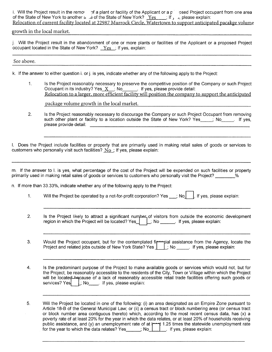i. Will the Project result in the remo stop a plant or facility of the Applicant or a pissipped Project occupant from one area of the State of New York to another  $\epsilon_{\alpha}$  , a of the State of New York?  $Yes$  ; If,  $\epsilon_{\alpha}$ , please explain: Relocation of current facility located at 22987 Murrock Circle, Watertown to support anticipated pacakge volume

#### growth in the local market.

j. Will the Project result in the abandonment of one or more plants or facilities of the Applicant or a proposed Project occupant located in the State of New York? Yes ; If yes, explain:

#### See above.

k. If the answer to either question i. or j. is yes, indicate whether any of the following apply to the Project:

1. Is the Project reasonably necessary to preserve the competitive position of the Company or such Project Occupant in its industry? Yes  $X$  ; No  $\qquad \qquad$  If yes, please provide detail: Relocation to a larger. more efficient facility will position the company to support the anticipated

package volume growth in the local market.

2. Is the Project reasonably necessary to discourage the Company or such Project Occupant from removing such other plant or facility to a location outside the State of New York? Yes \_\_\_\_; No \_\_\_\_. If yes, please provide detail:

I. Does the Project include facilities or property that are primarily used in making retail sales of goods or services to customers who personally visit such facilities?  $No$  ; If yes, please explain:

m. If the answer to I. is yes, what percentage of the cost of the Project will be expended on such facilities or property primarily used in making retail sales of goods or services to customers who personally visit the Project?

n. If more than 33.33%, indicate whether any of the following apply to the Project:

- 1. Will the Project be operated by a not-for-profit corporation? Yes  $\Box$ ; No  $\Box$  If yes, please explain:
- 2. Is the Project likely to attract a significant number of visitors from outside the economic development region in which the Project will be located?  $Yes$   $\Box$ ; No  $\Box$ . If yes, please explain:
- 3. Would the Project occupant, but for the contemplated fire pial assistance from the Agency, locate the Project and related jobs outside of New York State? Yes  $\underline{\quad \quad \quad }$  No  $\underline{\quad \quad \quad }$ . If yes, please explain:
- 4. Is the predominant purpose of the Project to make available goods or services which would not, but for the Project, be reasonably accessible to the residents of the City, Town or Village within which the Project will be located hacause of a lack of reasonably accessible retail trade facilities offering such goods or services? Yes |  $\lfloor$ ; No  $\lfloor$  if yes, please explain:
- 5. Will the Project be located in one of the following: (i) an area designated as an Empire Zone pursuant to Article 18-B of the General Municipal Law; or (ii) a census tract or block numbering area (or census tract or block number area contiguous thereto) which, according to the most recent census data, has (x) a poverty rate of at least 20% for the year in which the data relates, or at least 20% of households receiving public assistance, and (y) an unemployment rate of at  $\mapsto$  1.25 times the statewide unemployment rate for the year to which the data relates? Yes  $\qquad \qquad$  ; No  $\Box$  If yes, please explain: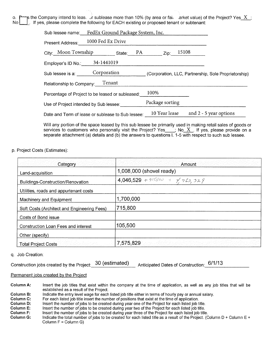o.  $\Gamma$  is the Company intend to leas— Jr sublease more than 10% (by area or fail , arket value) of the Project? Yes X No **I** If yes, please complete the following for EACH existing or proposed tenant or subtenant:

| Sub lessee name: FedEx Ground Package System, Inc. |                   |                     |  |                                                      |
|----------------------------------------------------|-------------------|---------------------|--|------------------------------------------------------|
| Present Address:                                   | 1000 Fed Ex Drive |                     |  |                                                      |
| City: Moon Township                                | State:            | $PA$ $Zip:$ $15108$ |  |                                                      |
| Employer's ID No.:                                 | 34-1441019        |                     |  |                                                      |
| Sub lessee is a:                                   | Corporation       |                     |  | (Corporation, LLC, Partnership, Sole Proprietorship) |
| Relationship to Company: Tenant                    |                   |                     |  |                                                      |
| Percentage of Project to be leased or subleased:   | 100%              |                     |  |                                                      |
| Use of Project intended by Sub lessee:             |                   | Package sorting     |  |                                                      |
| Date and Term of lease or sublease to Sub lessee:  |                   | 10 Year lease       |  | and $2 - 5$ year options                             |
|                                                    |                   |                     |  |                                                      |

Will any portion of the space leased by this sub lessee be primarily used in making retail sales of goods or services to customers who personally visit the Project? Yes  $\quad$  ; No  $\overline{X}$  . If yes, please provide on a separate attachment (a) details and (b) the answers to questions I. 1-5 with respect to such sub lessee.

p. Project Costs (Estimates):

| Category                                    | Amount<br>결과자 단 사고 성인 이동이 모르다 사고했다                 |
|---------------------------------------------|----------------------------------------------------|
| Land-acquisition                            | 1,008,000 (shovel ready)                           |
| Buildings-Construction/Renovation           | 4,046,529 + 915800 = $\frac{1}{7}$ 722,329         |
| Utilities, roads and appurtenant costs      |                                                    |
| Machinery and Equipment                     | 1,700,000                                          |
| Soft Costs (Architect and Engineering Fees) | 715,800                                            |
| Costs of Bond issue                         |                                                    |
| Construction Loan Fees and interest         | 105,500                                            |
| Other (specify)                             |                                                    |
| <b>Total Project Costs</b>                  | 21) 2014년 1월 2014년 1월 2014년 10월 2014년<br>7,575,829 |

q. Job Creation:

| Construction jobs created by the Project: 30 (estimated) | Anticipated Dates of Construction: 6/1/13 |  |
|----------------------------------------------------------|-------------------------------------------|--|
|                                                          |                                           |  |

#### Permanent jobs created by the Project

**Column A:** Insert the job titles that exist within the company at the time of application, as well as any job titles that will be established as a result of the Project.

**Column B:** Indicate the entry level wage for each listed job title either in terms of hourly pay or annual salary.<br>**Column C:** For each listed job title insert the number of positions that exist at the time of application

**Column C:** For each listed job title insert the number of positions that exist at the time of application.<br>**Column D:** Insert the number of jobs to be created during year one of the Project for each listed job t

**Column D:** Insert the number of jobs to be created during year one of the Project for each listed job title.<br>**Column E:** Insert the number of jobs to be created during year two of the Project for each listed job title.

**Column E:** Insert the number of jobs to be created during year two of the Project for each listed job title.<br>**Column F:** Insert the number of jobs to be created during year three of the Project for each listed job title

**Column F:** Insert the number of jobs to be created during year three of the Project for each listed job title.<br>**Column G:** Indicate the total number of jobs to be created for each listed title as a result of the Project.

Indicate the total number of jobs to be created for each listed title as a result of the Project. (Column D + Column E + Column F = Column G)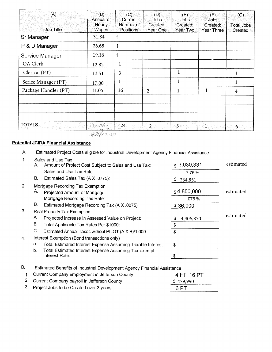| (A)                  | (B)<br>Annual or       | (C)<br>Current                | (D)<br>Jobs:         | (E)<br><b>Jobs</b>   | (F)<br><b>Jobs</b>            | (G)                          |
|----------------------|------------------------|-------------------------------|----------------------|----------------------|-------------------------------|------------------------------|
| <b>Job Title</b>     | <b>Hourly</b><br>Wages | Number of<br><b>Positions</b> | Created:<br>Year One | Created:<br>Year Two | Created:<br><b>Year Three</b> | <b>Total Jobs</b><br>Created |
| Sr Manager           | 31.84                  |                               |                      |                      |                               |                              |
| P & D Manager        | 26.68                  |                               |                      |                      |                               |                              |
| Service Manager      | 19.16                  |                               |                      |                      |                               |                              |
| QA Clerk             | 12.82                  | 1                             |                      |                      |                               |                              |
| Clerical (PT)        | 13.51                  | 3                             |                      | 1                    |                               |                              |
| Serice Manager (PT)  | 17.00                  | 1                             |                      | $\mathbf{1}$         |                               |                              |
| Package Handler (PT) | 11.05                  | 16                            | $\overline{2}$       | 1                    | 1                             | 4                            |
|                      |                        |                               |                      |                      |                               |                              |
|                      |                        |                               |                      |                      |                               |                              |
|                      |                        |                               |                      |                      |                               |                              |
| <b>TOTALS:</b>       | $13206 +$              | 24                            | $\overline{2}$ .     | $\overline{3}$       | 1                             | 6 <sub>1</sub>               |

 $188772080$ 

#### **Potential JCIDA Financial Assistance**

A. Estimated Project Costs eligible for Industrial Development Agency Financial Assistance

| 1.               | Sales and Use Tax<br>А. | Amount of Project Cost Subject to Sales and Use Tax:                     | $\frac{1}{2}$ 3,030,331 | estimated |
|------------------|-------------------------|--------------------------------------------------------------------------|-------------------------|-----------|
|                  |                         | Sales and Use Tax Rate:                                                  | 7.75%                   |           |
|                  | В.                      | Estimated Sales Tax (A X .0775):                                         | 234,851                 |           |
| 2.               | Α.                      | Mortgage Recording Tax Exemption<br>Projected Amount of Mortgage:        | \$4,800,000             | estimated |
|                  |                         | Mortgage Recording Tax Rate:                                             | .075 %                  |           |
|                  | В.                      | Estimated Mortgage Recording Tax (A X .0075):                            | \$36,000                |           |
| 3.               |                         | Real Property Tax Exemption                                              |                         |           |
|                  | Α.                      | Projected Increase in Assessed Value on Project:                         | 4,406,870<br>\$         | estimated |
|                  | <b>B.</b>               | Total Applicable Tax Rates Per \$1000:                                   | \$                      |           |
|                  | C.                      | Estimated Annual Taxes without PILOT (A X B)/1,000:                      | \$                      |           |
| $\overline{4}$ . |                         | Interest Exemption (Bond transactions only)                              |                         |           |
|                  | a.                      | Total Estimated Interest Expense Assuming Taxable Interest:              | \$                      |           |
|                  | b.                      | Total Estimated Interest Expense Assuming Tax-exempt<br>Interest Rate:   | S                       |           |
| В.               |                         | Estimated Benefits of Industrial Development Agency Financial Assistance |                         |           |

| 1. Current Company employment in Jefferson County | 4 FT, 16 PT |
|---------------------------------------------------|-------------|
| 2. Current Company payroll in Jefferson County    | \$479,990   |
| 3. Project Jobs to be Created over 3 years        | 6 PT        |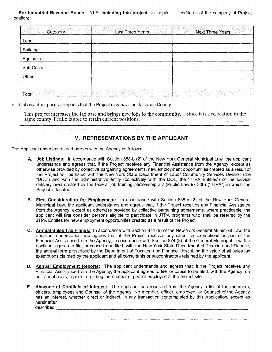r. **For Industrial Revenue Bonds** NLY, including this project, list capital intenditures of the company at Project location:

| Category                | Last Three Years                                                                                                                          | <b>Next Three Years</b> |
|-------------------------|-------------------------------------------------------------------------------------------------------------------------------------------|-------------------------|
| Land                    |                                                                                                                                           |                         |
| <b>Building</b>         |                                                                                                                                           |                         |
| Equipment               |                                                                                                                                           |                         |
| Soft Costs              |                                                                                                                                           |                         |
| Other                   |                                                                                                                                           |                         |
|                         |                                                                                                                                           |                         |
| urinta a Sacti<br>Total | <u> The Matter Matter of the Second Person (2002)</u><br>The Matter of the Matter of the Matter of the Matter of the Second Person (2003) |                         |

s. List any other positive impacts that the Project may have on Jefferson County:

This project increases the tax base and brings new jobs to the community. Since it is a relocation in the same county. FedEx is able to retain current positions.

#### **V. REPRESENTATIONS BY THE APPLICANT**

The Applicant understands and agrees with the Agency as follows:

- **A. Job Listings:** In accordance with Section 858-b (2) of the New York General Municipal Law, the applicant understands and agrees that, if the Project receives any Financial Assistance from the Agency, except as otherwise provided by collective bargaining agreements, new employment opportunities created as a result of the Project will be listed with the New York State Department of Labor Community Services Division (the "DOL") and with the administrative entity (collectively with the DOL, the "JTPA Entities") of the service delivery area created by the federal job training partnership act (Public Law 97-300) ("JTPA") in which the Project is located.
- **B. First Consideration for Employment:** In accordance with Section 858-b (2) of the New York General Municipal Law, the applicant understands and agrees that, if the Project receives any Financial Assistance from the Agency, except as otherwise provided by collective bargaining agreements, where practicable, the applicant will first consider persons eligible to participate in JTPA programs who shall be referred by the JTPA Entities for new employment opportunities created as a result of the Project.
- **C. Annual Sales Tax Filings:** In accordance with Section 874 (8) of the New York General Municipal Law, the applicant understands and agrees that, if the Project receives any sales tax exemptions as part of the Financial Assistance from the Agency, in accordance with Section 874 (8) of the General Municipal Law, the applicant agrees to file, or cause to be filed, with the New York State Department of Taxation and Finance, the annual form prescribed by the Department of Taxation and Finance, describing the value of all sales tax exemptions claimed by the applicant and all consultants or subcontractors retained by the applicant.
- **D. Annual Employment Reports:** The applicant understands and agrees that, if the Project receives any Financial Assistance from the Agency, the applicant agrees to file, or cause to be filed, with the Agency, on an annual basis, reports regarding the number of people employed at the project site.
- **E. Absence of Conflicts of Interest:** The applicant has received from the Agency a list of the members, officers, employees and Counsel of the Agency. No member, officer, employee, or Counsel of the Agency has an interest, whether direct or indirect, in any transaction contemplated by this Application, except as hereinafter described: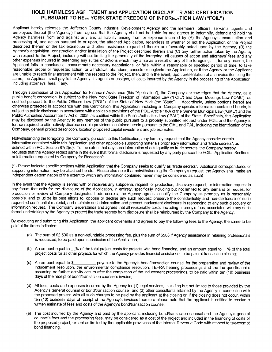#### **HOLD HARMLESS AGF FMENT and APPLICATION DISCLAIT R AND CERTIFICATION** PURSUANT TO NEV. YORK STATE FREEDOM OF INFORMATION LAW ("FOIL")

Applicant hereby releases the Jefferson County Industrial Development Agency and the members, officers, servants, agents and employees thereof (the 'Agency') from, agrees that the Agency shall not be liable for and agrees to indemnify, defend and hold the Agency harmless from and against any and all liability arising from or expense incurred by (A) the Agency's examination and processing of, and action pursuant to or upon, the attached Application, regardless of whether or not the Application or the Project described therein or the tax exemption and other assistance requested therein are favorably acted upon by the Agency, (B) the Agency's acquisition, construction and/or installation of the Project described therein and (C) any further action taken by the Agency with respect to the Project; including without limiting the generality of the foregoing, all causes of action and attorneys' fees and any other expenses incurred in defending any suites or actions which may arise as a result of any of the foregoing. If, for any reason, the Applicant fails to conclude or consummate necessary negotiations, or fails, within a reasonable or specified period of time, to take reasonable, proper or requested action, or withdraws, abandons, cancels or neglects the Application, or if the Agency or the Applicant are unable to reach final agreement with the respect to the Project, then, and in the event, upon presentation of an invoice itemizing the same, the Applicant shall pay to the Agency, its agents or assigns, all costs incurred by the Agency in the processing of the Application, including attorneys' fees, if any.

Through submission of this Application for Financial Assistance (this "Application"), the Company acknowledges that the Agency, as a public benefit corporation, is subject to the New York State Freedom of Information Law ("FOIL") and Open Meetings Law ("OML"), as codified pursuant to the Public Officers Law ("POL") of the State of New York (the "State"). Accordingly, unless portions hereof are otherwise protected in accordance with this Certification, this Application, including all Company-specific information contained herein, is subject to public disclosure in accordance with applicable provisions of the POL, Article 18-A of the General Municipal Law ("GML") and the Public Authorities Accountability Act of 2005, as codified within the Public Authorities Law ("PAL") of the State. Specifically, this Application may be disclosed by the Agency to any member of the public pursuant to a properly submitted request under FOIL and the Agency is further required to affirmatively disclose certain provisions contained herein pursuant to the GML and PAL, including the identification of the Company, general project description, location proposed capital investment and job estimates.

Notwithstanding the foregoing, the Company, pursuant to this Certification, may formally request that the Agency consider certain information contained within this Application and other applicable supporting materials proprietary information and "trade secrets", as defined within POL Section 87(2)(d). To the extent that any such information should qualify as trade secrets, the Company hereby requests that the Agency redact same in the event that formal disclosure is requested by any party pursuant to FOIL. Application Sections or information requested by Company for Redaction\*:

(\* - Please indicate specific sections within Application that the Company seeks to qualify as "trade secrets". Additional correspondence or supporting information may be attached hereto. Please also note that notwithstanding the Company's request, the Agency shall make an independent determination of the extent to which any information contained herein may be considered as such)

In the event that the Agency is served with or receives any subpoena, request for production, discovery request, or information request in any forum that calls for the disclosure of the Application, in entirety, specifically including but not limited to any demand or request for production or review of Company-designated trade secrets, the Agency agrees to notify the Company as promptly as is reasonably possible, and to utilize its best efforts to: oppose or decline any such request; preserve the confidentiality and non-disclosure of such requested confidential material; and maintain such information and prevent inadvertent disclosure in responding to any such discovery or information request. The Company understands and agrees that all reasonable costs, including attorney's fees, associated with any such formal undertaking by the Agency to protect the trade secrets from disclosure shall be reimbursed by the Company to the Agency.

By executing and submitting this Application, the applicant covenants and agrees to pay the following fees to the Agency, the same to be paid at the times indicated:

- (a) The sum of \$2,500 as a non-refundable processing fee, plus the sum of \$500 if Agency assistance in retaining professionals is requested, to be paid upon submission of the Application;
- (b) An amount equal to % of the total project costs for projects with bond financing, and an amount equal to % of the total project costs for all other projects for which the Agency provides financial assistance, to be paid at transaction closing;
- (c) An amount equal to \$ payable to the Agency's bond/transaction counsel for the preparation and review of the inducement resolution, the environmental compliance resolution, TEFRA hearing proceedings and the tax questionnaire assuming no further activity occurs after the completion of the inducement proceedings, to be paid within ten (10) business days of the receipt of bond/transaction counsel's invoice;
- (d) All fees, costs and expenses incurred by the Agency for (1) legal services, including but not limited to those provided by the Agency's general counsel or bond/transaction counsel, and (2) other consultants retained by the Agency in connection with the proposed project; with all such charges to be paid by the applicant at the closing or, if the closing does not occur, within ten (10) business days of receipt of the Agency's invoices therefore please note that the applicant is entitled to receive a written estimate of fees and costs of the Agency's bond/transaction counsel;
- (e) The cost incurred by the Agency and paid by the applicant, including bond/transaction counsel and the Agency's general counsel's fees and the processing fees, may be considered as a cost of the project and included in the financing of costs of the proposed project, except as limited by the applicable provisions of the Internal Revenue Code with respect to tax-exempt bond financing.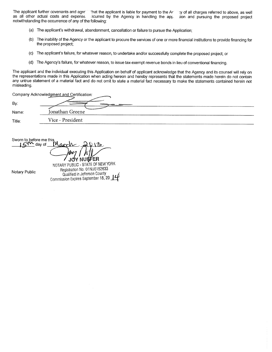The applicant further covenants and agre that the applicant is liable for payment to the Ar that charges referred to above, as well as all other actual costs and expense incurred by the Agency in handling the applicant an acurred by the Agency in handling the app notwithstanding the occurrence of any of the following:

- (a) The applicant's withdrawal, abandonment, cancellation or failure to pursue the Application;
- (b) The inability of the Agency or the applicant to procure the services of one or more financial institutions to provide financing for the proposed project;
- (c) The applicant's failure, for whatever reason, to undertake and/or successfully complete the proposed project; or
- (d) The Agency's failure, for whatever reason, to issue tax-exempt revenue bonds in lieu of conventional financing.

The applicant and the individual executing this Application on behalf of applicant acknowledge that the Agency and its counsel will rely on the representations made in this Application when acting hereon and hereby represents that the statements made herein do not contain any untrue statement of a material fact and do not omit to state a material fact necessary to make the statements contained herein not misleading.

| Company Acknowledgment and Certification: |                           |  |
|-------------------------------------------|---------------------------|--|
| By:                                       | <b>CHARGE CARD TO ANY</b> |  |
| Name:                                     | Jonathan Greene           |  |
| Title:                                    | Vice - President          |  |

Sworn to day me this day of JOY NUFFER

Notary Public

NOTARY PUBLIC - STATE OF NEW YORK Registration No, 01NU6152633 Qualified in Jefferson County Commission Expires September 18, 20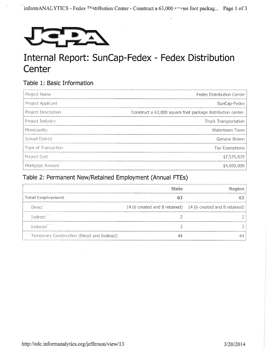

## Internal Report: SunCap-Fedex - Fedex Distribution **Center**

### **Table 1: Basic Information**

| Project Name           | Fedex Distribution Center                                   |
|------------------------|-------------------------------------------------------------|
| Project Applicant      | SunCap-Fedex                                                |
| Project Description    | Construct a 63,000 square foot package distribution center. |
| Project Industry       | Truck Transportation                                        |
| Municipality           | Watertown Town                                              |
| <b>School District</b> | General Brown                                               |
| Type of Transaction    | Tax Exemptions                                              |
| <b>Project Cost</b>    | \$7,575,829                                                 |
| Mortgage Amount        | \$4,800,000                                                 |

## **Table 2: Permanent New/Retained Employment (Annual FTEs)**

|                                              | State | Region                                                      |
|----------------------------------------------|-------|-------------------------------------------------------------|
| Total Employment                             |       |                                                             |
| Direct <sup>1</sup>                          |       | 14 (6 created and 8 retained) 14 (6 created and 8 retained) |
| Indirect <sup>11</sup>                       |       |                                                             |
| Induced <sup>****</sup>                      |       |                                                             |
| Temporary Construction (Direct and Indirect) |       |                                                             |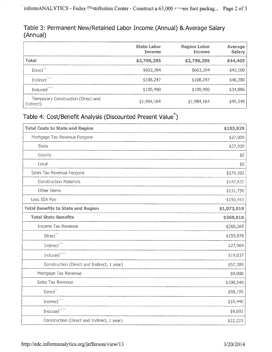### Table 3: Permanent New/Retained Labor Income (Annual) & Average Salary (Annual)

|                                                 | <b>State Labor</b><br>Income | <b>Region Labor</b><br>Income | Average<br>Salary |
|-------------------------------------------------|------------------------------|-------------------------------|-------------------|
| Total                                           | \$2,796,295                  | \$2,796,295                   | \$44,405          |
| Direct <sup>**</sup>                            | \$603,394                    | \$603,394                     | \$43,100          |
| Indirect <sup>***</sup>                         | \$108,247                    | \$108,247                     | \$46,280          |
| Induced <sup>****</sup>                         | \$100,490                    | \$100,490                     | \$34,886          |
| Temporary Construction (Direct and<br>Indirect) | \$1,984,164                  | \$1,984,164                   | \$45,349          |

## Table 4: Cost/Benefit Analysis (Discounted Present Value\*)

| <b>Total Costs to State and Region</b>     | \$155,929   |
|--------------------------------------------|-------------|
| Mortgage Tax Revenue Forgone               | \$27,000    |
| State                                      | \$27,000    |
| County                                     | \$0         |
| Local                                      | \$0         |
| Sales Tax Revenue Forgone                  | \$279,382   |
| <b>Construction Materials</b>              | \$147,632   |
| Other Items                                | \$131,750   |
| Less IDA Fee                               | $-$150,453$ |
| <b>Total Benefits to State and Region</b>  | \$1,073,919 |
| <b>Total State Benefits</b>                | \$369,818   |
| Income Tax Revenue                         | \$260,269   |
| Direct <sup>**</sup>                       | \$155,878   |
| Indirect <sup>***</sup>                    | \$27,964    |
| Induced****                                | \$19,037    |
| Construction (Direct and Indirect, 1 year) | \$57,389    |
| Mortgage Tax Revenue                       | \$9,000     |
| Sales Tax Revenue                          | \$100,549   |
| Direct <sup>**</sup>                       | \$58,195    |
| $\operatorname{Indirect}^{***}$            | \$10,440    |
| Induced <sup>****</sup>                    | \$9,692     |
| Construction (Direct and Indirect, 1 year) | \$22,223    |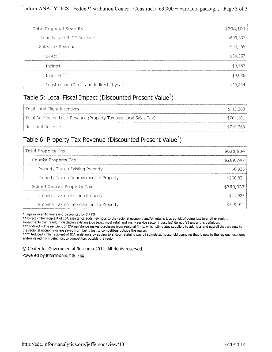| <b>Total Regional Benefits</b>             | \$704,101 |
|--------------------------------------------|-----------|
| Property Tax/PILOT Revenue                 | \$609,837 |
| Sales Tax Revenue                          | \$94,265  |
| Direct                                     | \$54,557  |
| Indirect <sup>***</sup>                    | \$9,787   |
| Induced <sup>****</sup>                    | \$9,086   |
| Construction (Direct and Indirect, 1 year) |           |

### Table 5: Local Fiscal Impact (Discounted Present Value\*)

| l Total Local Client Incentives                                     | $$-15,268$ |
|---------------------------------------------------------------------|------------|
| Total Anticipated Local Revenue (Property Tax plus Local Sales Tax) | \$704,101  |
| l Net Local Revenue.                                                | \$719.369  |

### Table 6: Property Tax Revenue (Discounted Present Value\*)

| <b>Total Property Tax</b>               | \$630,684 |
|-----------------------------------------|-----------|
| County Property Tax                     | \$269,747 |
| Property Tax on Existing Property       | \$8,923   |
| Property Tax on Improvement to Property | \$260,824 |
| <b>School District Property Tax</b>     | \$360,937 |
| Property Tax on Existing Property       | \$11,925  |
| Property Tax on Improvement to Property | \$349,012 |

\* Figures over 10 years and discounted by 3.49%

\*\* Direct - The recipient of IDA assistance adds new jobs to the regional economy and/or retains jobs at risk of being lost to another region.

Investments that result in displacing existing jobs (e.g., most retail and many service sector industries) do not fall under this definition.

\*\*\* Indirect - The recipient of IDA assistance makes purchases from regional firms, which stimulates suppliers to add jobs and payroll that are new to the regional economy or are saved from being lost to competitors outside the region.

\*\*\*\* Induced - The recipient of IDA assistance by adding to and/or retaining payroll stimulates household spending that is new to the regional economy and/or saved from being lost to competitors outside the region.

0 Center for Governmental Research 2014. All rights reserved. Powered by informANALYTICS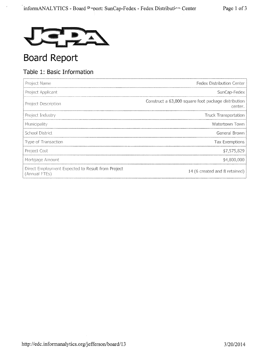

## Board Report

### Table 1: Basic Information

| Project Name                                                       | Fedex Distribution Center                                      |
|--------------------------------------------------------------------|----------------------------------------------------------------|
| Project Applicant                                                  | SunCap-Fedex                                                   |
| Project Description                                                | Construct a 63,000 square foot package distribution<br>center. |
| Project Industry                                                   | <b>Truck Transportation</b>                                    |
| Municipality                                                       | Watertown Town                                                 |
| School District                                                    | General Brown                                                  |
| Type of Transaction                                                | Tax Exemptions                                                 |
| Project Cost                                                       | \$7,575,829                                                    |
| Mortgage Amount                                                    | \$4,800,000                                                    |
| Direct Employment Expected to Result from Project<br>(Annual FTEs) | 14 (6 created and 8 retained)                                  |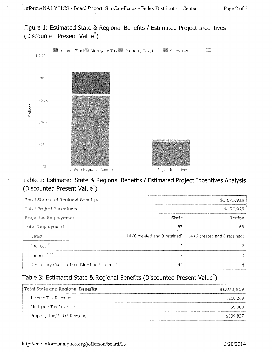Figure 1: Estimated State & Regional Benefits / Estimated Project Incentives (Discounted Present Value\*)



### Table 2: Estimated State & Regional Benefits / Estimated Project Incentives Analysis (Discounted Present Value\*)

| <b>Total State and Regional Benefits</b>     |           | \$1,073,919                                                 |
|----------------------------------------------|-----------|-------------------------------------------------------------|
| <b>Total Project Incentives</b>              | \$155,929 |                                                             |
| <b>Projected Employment</b>                  | State     | Region                                                      |
| <b>Total Employment</b>                      | 63        | 63                                                          |
| Direct <sup>11</sup>                         |           | 14 (6 created and 8 retained) 14 (6 created and 8 retained) |
| Indirect <sup>***</sup>                      |           |                                                             |
| Induced <sup>****</sup>                      | ੨         |                                                             |
| Temporary Construction (Direct and Indirect) | 44        | 44                                                          |

## Table 3: Estimated State & Regional Benefits (Discounted Present Value\*)

| Total State and Regional Benefits | \$1,073,919 |
|-----------------------------------|-------------|
| Thcome Tax Revenue                | \$260,269   |
| Mortgage Tax Revenue              | \$9,000     |
| Property Tax/PILOT Revenue        | \$609,837   |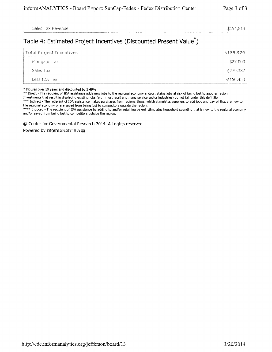Sales Tax Revenue  $$194,814$ 

### Table 4: Estimated Project Incentives (Discounted Present Value\*)

| Total Project Incentives | \$155,929     |
|--------------------------|---------------|
| Mortgage Tax             | \$27,000      |
| Sales Tax                | \$279,382     |
| Less IDA Fee             | $-$ \$150,453 |

\* Figures over 10 years and discounted by 3.49%

\*\* Direct - The recipient of IDA assistance adds new jobs to the regional economy and/or retains jobs at risk of being lost to another region.

Investments that result in displacing existing jobs (e.g., most retail and many service sector industries) do not fall under this definition.

\*\*\* Indirect - The recipient of IDA assistance makes purchases from regional firms, which stimulates suppliers to add jobs and payroll that are new to the regional economy or are saved from being lost to competitors outside the region.

\*\*\*\* Induced - The recipient of IDA assistance by adding to and/or retaining payroll stimulates household spending that is new to the regional economy and/or saved from being lost to competitors outside the region.

0 Center for Governmental Research 2014. All rights reserved.

Powered by **informANALYTICS**